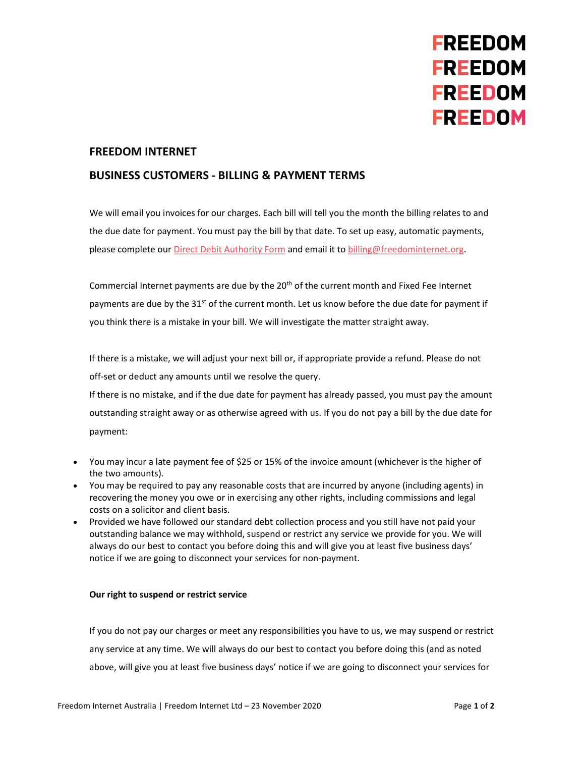

### FREEDOM INTERNET

## BUSINESS CUSTOMERS - BILLING & PAYMENT TERMS

We will email you invoices for our charges. Each bill will tell you the month the billing relates to and the due date for payment. You must pay the bill by that date. To set up easy, automatic payments, please complete our Direct Debit Authority Form and email it to billing@freedominternet.org.

Commercial Internet payments are due by the 20<sup>th</sup> of the current month and Fixed Fee Internet payments are due by the 31<sup>st</sup> of the current month. Let us know before the due date for payment if you think there is a mistake in your bill. We will investigate the matter straight away.

If there is a mistake, we will adjust your next bill or, if appropriate provide a refund. Please do not off-set or deduct any amounts until we resolve the query. If there is no mistake, and if the due date for payment has already passed, you must pay the amount outstanding straight away or as otherwise agreed with us. If you do not pay a bill by the due date for

payment:

- You may incur a late payment fee of \$25 or 15% of the invoice amount (whichever is the higher of the two amounts).
- You may be required to pay any reasonable costs that are incurred by anyone (including agents) in recovering the money you owe or in exercising any other rights, including commissions and legal costs on a solicitor and client basis.
- Provided we have followed our standard debt collection process and you still have not paid your outstanding balance we may withhold, suspend or restrict any service we provide for you. We will always do our best to contact you before doing this and will give you at least five business days' notice if we are going to disconnect your services for non-payment.

#### Our right to suspend or restrict service

If you do not pay our charges or meet any responsibilities you have to us, we may suspend or restrict any service at any time. We will always do our best to contact you before doing this (and as noted above, will give you at least five business days' notice if we are going to disconnect your services for